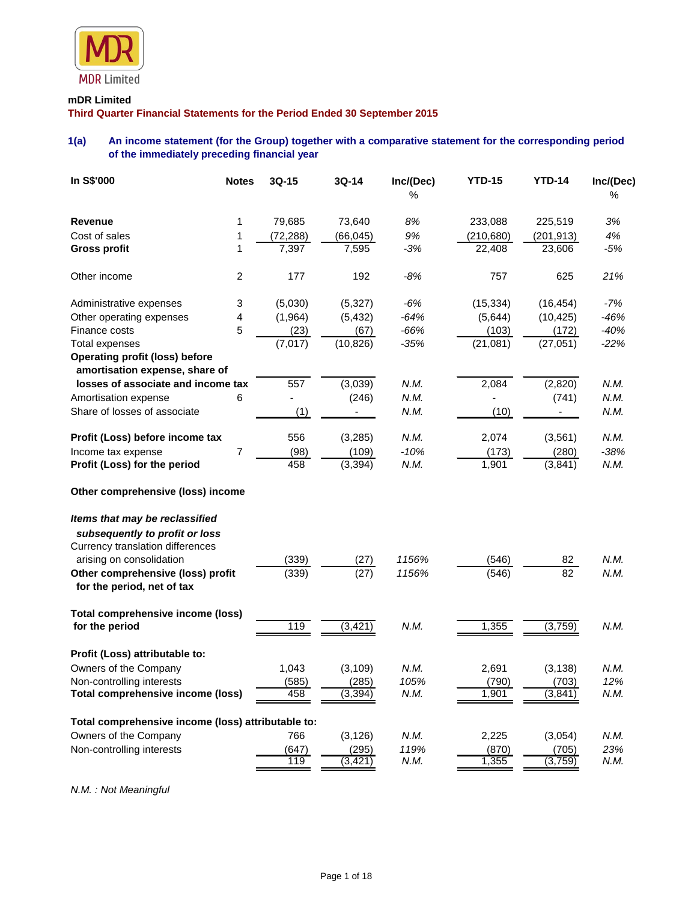

# **mDR Limited**

**Third Quarter Financial Statements for the Period Ended 30 September 2015**

# **1(a) An income statement (for the Group) together with a comparative statement for the corresponding period of the immediately preceding financial year**

| In S\$'000                                                              | <b>Notes</b>   | $3Q-15$   | 3Q-14             | Inc/(Dec) | <b>YTD-15</b> | <b>YTD-14</b> | Inc/(Dec) |
|-------------------------------------------------------------------------|----------------|-----------|-------------------|-----------|---------------|---------------|-----------|
|                                                                         |                |           |                   | $\%$      |               |               | %         |
| <b>Revenue</b>                                                          | 1              | 79,685    | 73,640            | 8%        | 233,088       | 225,519       | 3%        |
| Cost of sales                                                           | 1              | (72, 288) | (66, 045)         | 9%        | (210, 680)    | (201, 913)    | 4%        |
| <b>Gross profit</b>                                                     | 1              | 7,397     | 7,595             | $-3%$     | 22,408        | 23,606        | $-5%$     |
| Other income                                                            | $\overline{c}$ | 177       | 192               | $-8%$     | 757           | 625           | 21%       |
| Administrative expenses                                                 | 3              | (5,030)   | (5, 327)          | $-6%$     | (15, 334)     | (16, 454)     | $-7%$     |
| Other operating expenses                                                | 4              | (1, 964)  | (5, 432)          | $-64%$    | (5,644)       | (10, 425)     | $-46%$    |
| Finance costs                                                           | 5              | (23)      | (67)              | $-66%$    | (103)         | (172)         | $-40%$    |
| <b>Total expenses</b>                                                   |                | (7,017)   | (10, 826)         | $-35%$    | (21, 081)     | (27, 051)     | $-22%$    |
| <b>Operating profit (loss) before</b><br>amortisation expense, share of |                |           |                   |           |               |               |           |
| losses of associate and income tax                                      |                | 557       | (3,039)           | N.M.      | 2,084         | (2,820)       | N.M.      |
| Amortisation expense                                                    | 6              |           | (246)             | N.M.      |               | (741)         | N.M.      |
| Share of losses of associate                                            |                | (1)       |                   | N.M.      | (10)          |               | N.M.      |
| Profit (Loss) before income tax                                         |                | 556       | (3, 285)          | N.M.      | 2,074         | (3, 561)      | N.M.      |
| Income tax expense                                                      | $\overline{7}$ | (98)      | (109)             | $-10%$    | (173)         | (280)         | $-38%$    |
| Profit (Loss) for the period                                            |                | 458       | (3, 394)          | N.M.      | 1,901         | (3,841)       | N.M.      |
| Other comprehensive (loss) income                                       |                |           |                   |           |               |               |           |
| Items that may be reclassified<br>subsequently to profit or loss        |                |           |                   |           |               |               |           |
| Currency translation differences                                        |                |           |                   |           |               |               |           |
| arising on consolidation                                                |                | (339)     | (27)              | 1156%     | (546)         | 82            | N.M.      |
| Other comprehensive (loss) profit<br>for the period, net of tax         |                | (339)     | $\overline{(27)}$ | 1156%     | (546)         | 82            | N.M.      |
| <b>Total comprehensive income (loss)</b><br>for the period              |                | 119       | (3, 421)          | N.M.      | 1,355         | (3,759)       | N.M.      |
| Profit (Loss) attributable to:                                          |                |           |                   |           |               |               |           |
| Owners of the Company                                                   |                | 1,043     | (3, 109)          | N.M.      | 2,691         | (3, 138)      | N.M.      |
| Non-controlling interests                                               |                | (585)     | (285)             | 105%      | (790)         | (703)         | 12%       |
| <b>Total comprehensive income (loss)</b>                                |                | 458       | (3, 394)          | N.M.      | 1,901         | (3,841)       | N.M.      |
| Total comprehensive income (loss) attributable to:                      |                |           |                   |           |               |               |           |
| Owners of the Company                                                   |                | 766       | (3, 126)          | N.M.      | 2,225         | (3,054)       | N.M.      |
| Non-controlling interests                                               |                | (647)     | (295)             | 119%      | (870)         | (705)         | 23%       |
|                                                                         |                | 119       | (3, 421)          | N.M.      | 1,355         | (3,759)       | N.M.      |

*N.M. : Not Meaningful*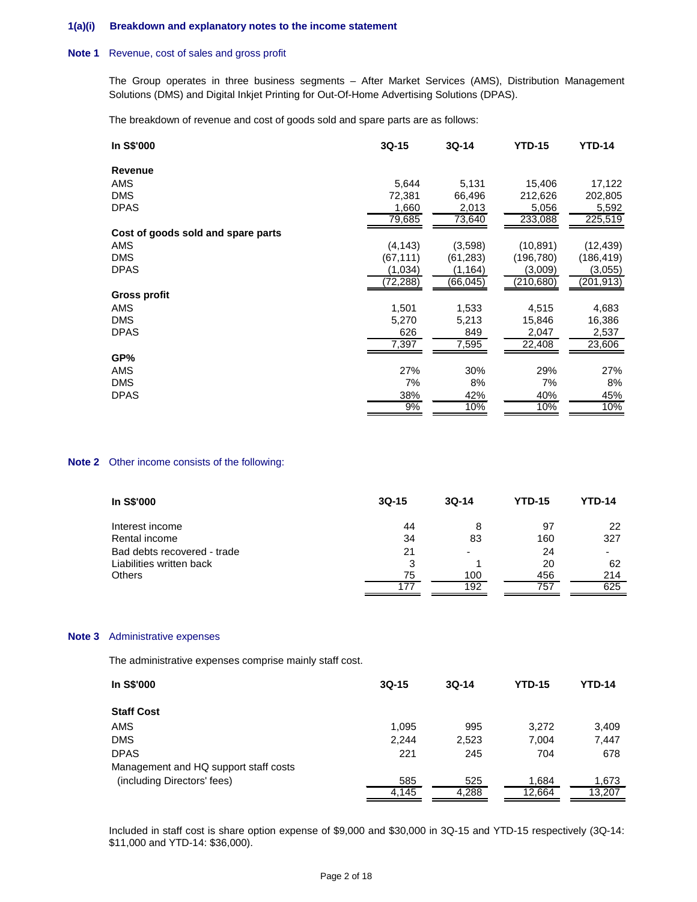#### **1(a)(i) Breakdown and explanatory notes to the income statement**

#### **Note 1** Revenue, cost of sales and gross profit

The Group operates in three business segments – After Market Services (AMS), Distribution Management Solutions (DMS) and Digital Inkjet Printing for Out-Of-Home Advertising Solutions (DPAS).

The breakdown of revenue and cost of goods sold and spare parts are as follows:

| In S\$'000                         | $3Q-15$   | $3Q-14$   | <b>YTD-15</b> | <b>YTD-14</b> |
|------------------------------------|-----------|-----------|---------------|---------------|
| Revenue                            |           |           |               |               |
| AMS                                | 5,644     | 5,131     | 15,406        | 17,122        |
| <b>DMS</b>                         | 72,381    | 66,496    | 212,626       | 202,805       |
| <b>DPAS</b>                        | 1,660     | 2,013     | 5,056         | 5,592         |
|                                    | 79,685    | 73,640    | 233,088       | 225,519       |
| Cost of goods sold and spare parts |           |           |               |               |
| <b>AMS</b>                         | (4, 143)  | (3,598)   | (10, 891)     | (12, 439)     |
| <b>DMS</b>                         | (67, 111) | (61, 283) | (196,780)     | (186, 419)    |
| <b>DPAS</b>                        | (1,034)   | (1, 164)  | (3,009)       | (3,055)       |
|                                    | (72,288)  | (66,045)  | (210, 680)    | (201,913)     |
| Gross profit                       |           |           |               |               |
| AMS                                | 1,501     | 1,533     | 4,515         | 4,683         |
| <b>DMS</b>                         | 5,270     | 5,213     | 15,846        | 16,386        |
| <b>DPAS</b>                        | 626       | 849       | 2,047         | 2,537         |
|                                    | 7,397     | 7,595     | 22,408        | 23,606        |
| GP%                                |           |           |               |               |
| AMS                                | 27%       | 30%       | 29%           | 27%           |
| <b>DMS</b>                         | 7%        | 8%        | 7%            | 8%            |
| <b>DPAS</b>                        | 38%       | 42%       | 40%           | 45%           |
|                                    | 9%        | 10%       | 10%           | 10%           |

#### **Note 2** Other income consists of the following:

| In S\$'000                  | $3Q-15$ | $3Q-14$ | <b>YTD-15</b> | <b>YTD-14</b> |
|-----------------------------|---------|---------|---------------|---------------|
| Interest income             | 44      | 8       | 97            | 22            |
| Rental income               | 34      | 83      | 160           | 327           |
| Bad debts recovered - trade | 21      |         | 24            |               |
| Liabilities written back    | 3       |         | 20            | 62            |
| <b>Others</b>               | 75      | 100     | 456           | 214           |
|                             |         | 192     | 757           | 625           |

#### **Note 3** Administrative expenses

The administrative expenses comprise mainly staff cost.

| In S\$'000                            | $3Q-15$ | $3Q-14$ | <b>YTD-15</b> | <b>YTD-14</b> |
|---------------------------------------|---------|---------|---------------|---------------|
| <b>Staff Cost</b>                     |         |         |               |               |
| AMS                                   | 1.095   | 995     | 3.272         | 3,409         |
| <b>DMS</b>                            | 2,244   | 2,523   | 7,004         | 7,447         |
| <b>DPAS</b>                           | 221     | 245     | 704           | 678           |
| Management and HQ support staff costs |         |         |               |               |
| (including Directors' fees)           | 585     | 525     | 1.684         | 1,673         |
|                                       | 4,145   | 4,288   | 12,664        | 13,207        |

Included in staff cost is share option expense of \$9,000 and \$30,000 in 3Q-15 and YTD-15 respectively (3Q-14: \$11,000 and YTD-14: \$36,000).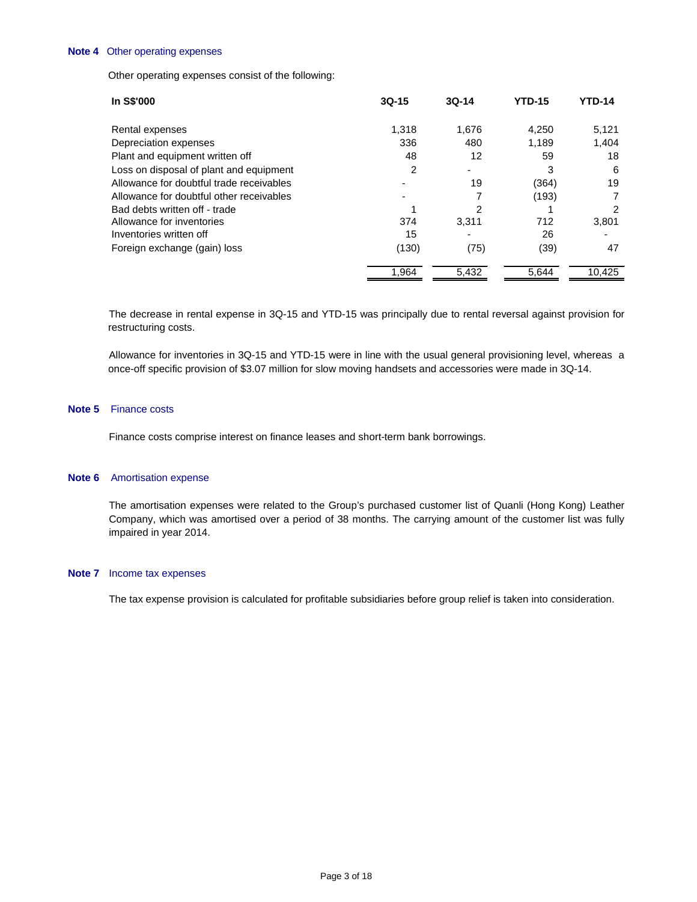#### **Note 4** Other operating expenses

Other operating expenses consist of the following:

| <b>In S\$'000</b>                        | $3Q-15$ | $3Q-14$ | <b>YTD-15</b> | <b>YTD-14</b> |
|------------------------------------------|---------|---------|---------------|---------------|
| Rental expenses                          | 1,318   | 1,676   | 4.250         | 5,121         |
| Depreciation expenses                    | 336     | 480     | 1.189         | 1,404         |
| Plant and equipment written off          | 48      | 12      | 59            | 18            |
| Loss on disposal of plant and equipment  | 2       |         | 3             | 6             |
| Allowance for doubtful trade receivables |         | 19      | (364)         | 19            |
| Allowance for doubtful other receivables |         |         | (193)         |               |
| Bad debts written off - trade            |         | 2       |               | 2             |
| Allowance for inventories                | 374     | 3.311   | 712           | 3,801         |
| Inventories written off                  | 15      |         | 26            |               |
| Foreign exchange (gain) loss             | (130)   | (75)    | (39)          | 47            |
|                                          | 1.964   | 5,432   | 5,644         | 10.425        |

The decrease in rental expense in 3Q-15 and YTD-15 was principally due to rental reversal against provision for restructuring costs.

Allowance for inventories in 3Q-15 and YTD-15 were in line with the usual general provisioning level, whereas a once-off specific provision of \$3.07 million for slow moving handsets and accessories were made in 3Q-14.

### **Note 5** Finance costs

Finance costs comprise interest on finance leases and short-term bank borrowings.

#### **Note 6** Amortisation expense

The amortisation expenses were related to the Group's purchased customer list of Quanli (Hong Kong) Leather Company, which was amortised over a period of 38 months. The carrying amount of the customer list was fully impaired in year 2014.

### **Note 7** Income tax expenses

The tax expense provision is calculated for profitable subsidiaries before group relief is taken into consideration.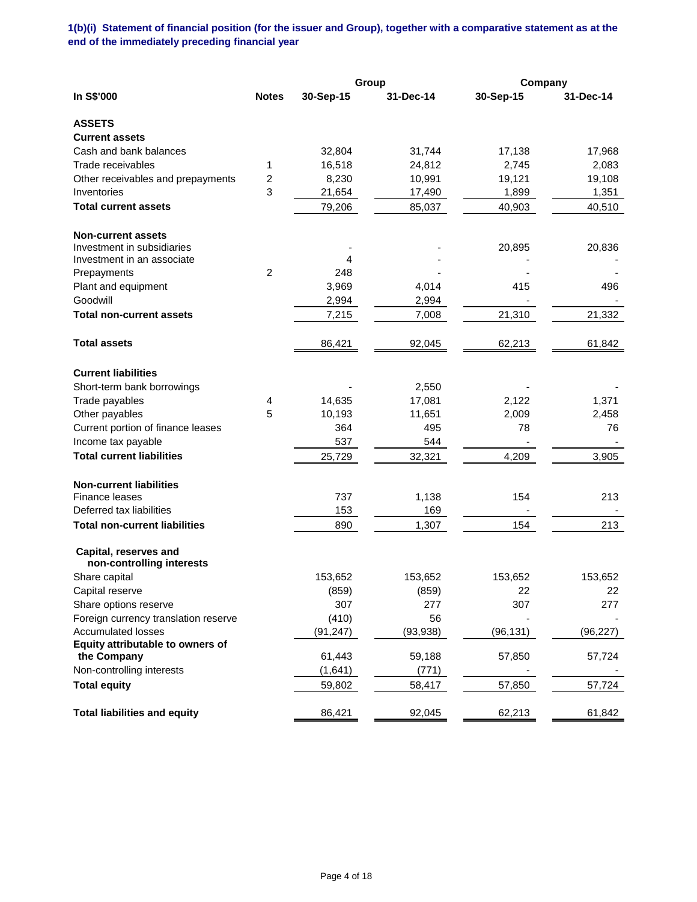**1(b)(i) Statement of financial position (for the issuer and Group), together with a comparative statement as at the end of the immediately preceding financial year**

|                                                          |              |           | Group     | Company   |           |
|----------------------------------------------------------|--------------|-----------|-----------|-----------|-----------|
| In S\$'000                                               | <b>Notes</b> | 30-Sep-15 | 31-Dec-14 | 30-Sep-15 | 31-Dec-14 |
| <b>ASSETS</b>                                            |              |           |           |           |           |
| <b>Current assets</b>                                    |              |           |           |           |           |
| Cash and bank balances                                   |              | 32,804    | 31,744    | 17,138    | 17,968    |
| Trade receivables                                        | 1            | 16,518    | 24,812    | 2,745     | 2,083     |
| Other receivables and prepayments                        | 2            | 8,230     | 10,991    | 19,121    | 19,108    |
| Inventories                                              | 3            | 21,654    | 17,490    | 1,899     | 1,351     |
| <b>Total current assets</b>                              |              | 79,206    | 85,037    | 40,903    | 40,510    |
| <b>Non-current assets</b>                                |              |           |           |           |           |
| Investment in subsidiaries<br>Investment in an associate |              | 4         |           | 20,895    | 20,836    |
| Prepayments                                              | 2            | 248       |           |           |           |
| Plant and equipment                                      |              | 3,969     | 4,014     | 415       | 496       |
| Goodwill                                                 |              | 2,994     | 2,994     |           |           |
| <b>Total non-current assets</b>                          |              | 7,215     | 7,008     | 21,310    | 21,332    |
| <b>Total assets</b>                                      |              | 86,421    | 92,045    | 62,213    | 61,842    |
| <b>Current liabilities</b>                               |              |           |           |           |           |
| Short-term bank borrowings                               |              |           | 2,550     |           |           |
| Trade payables                                           | 4            | 14,635    | 17,081    | 2,122     | 1,371     |
| Other payables                                           | 5            | 10,193    | 11,651    | 2,009     | 2,458     |
| Current portion of finance leases                        |              | 364       | 495       | 78        | 76        |
| Income tax payable                                       |              | 537       | 544       |           |           |
| <b>Total current liabilities</b>                         |              | 25,729    | 32,321    | 4,209     | 3,905     |
| <b>Non-current liabilities</b>                           |              |           |           |           |           |
| <b>Finance leases</b>                                    |              | 737       | 1,138     | 154       | 213       |
| Deferred tax liabilities                                 |              | 153       | 169       |           |           |
| <b>Total non-current liabilities</b>                     |              | 890       | 1,307     | 154       | 213       |
| Capital, reserves and<br>non-controlling interests       |              |           |           |           |           |
| Share capital                                            |              | 153,652   | 153,652   | 153,652   | 153,652   |
| Capital reserve                                          |              | (859)     | (859)     | 22        | 22        |
| Share options reserve                                    |              | 307       | 277       | 307       | 277       |
| Foreign currency translation reserve                     |              | (410)     | 56        |           |           |
| <b>Accumulated losses</b>                                |              | (91, 247) | (93, 938) | (96, 131) | (96, 227) |
| Equity attributable to owners of<br>the Company          |              | 61,443    | 59,188    | 57,850    | 57,724    |
| Non-controlling interests                                |              | (1,641)   | (771)     |           |           |
| <b>Total equity</b>                                      |              | 59,802    | 58,417    | 57,850    | 57,724    |
| <b>Total liabilities and equity</b>                      |              | 86,421    | 92,045    | 62,213    | 61,842    |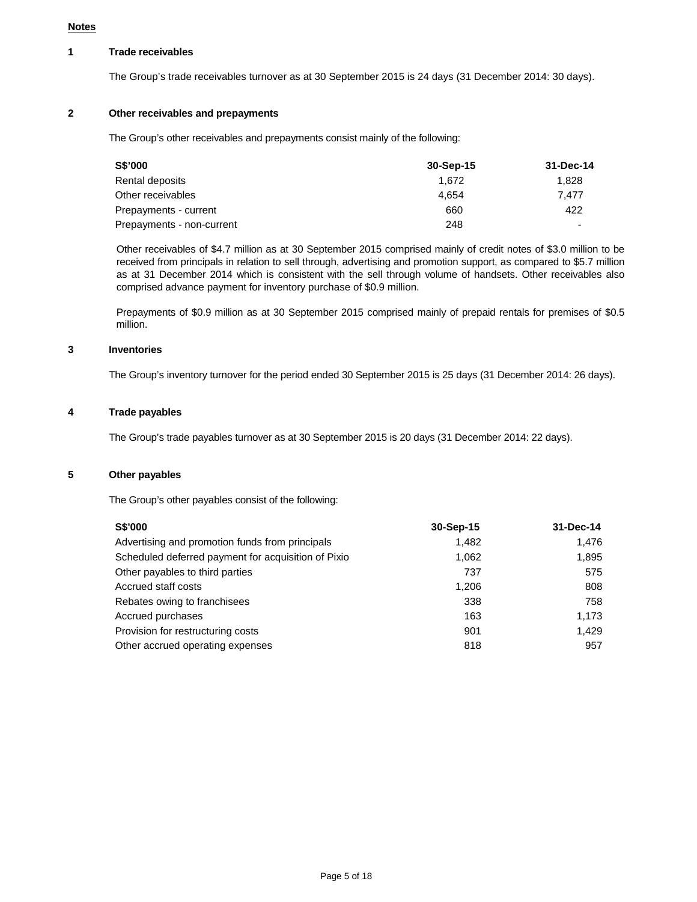# **1 Trade receivables**

The Group's trade receivables turnover as at 30 September 2015 is 24 days (31 December 2014: 30 days).

# **2 Other receivables and prepayments**

The Group's other receivables and prepayments consist mainly of the following:

| 30-Sep-15 | 31-Dec-14 |
|-----------|-----------|
| 1.672     | 1.828     |
| 4.654     | 7.477     |
| 660       | 422       |
| 248       | -         |
|           |           |

Other receivables of \$4.7 million as at 30 September 2015 comprised mainly of credit notes of \$3.0 million to be received from principals in relation to sell through, advertising and promotion support, as compared to \$5.7 million as at 31 December 2014 which is consistent with the sell through volume of handsets. Other receivables also comprised advance payment for inventory purchase of \$0.9 million.

Prepayments of \$0.9 million as at 30 September 2015 comprised mainly of prepaid rentals for premises of \$0.5 million.

## **3 Inventories**

The Group's inventory turnover for the period ended 30 September 2015 is 25 days (31 December 2014: 26 days).

# **4 Trade payables**

The Group's trade payables turnover as at 30 September 2015 is 20 days (31 December 2014: 22 days).

#### **5 Other payables**

The Group's other payables consist of the following:

| <b>S\$'000</b>                                      | 30-Sep-15 | 31-Dec-14 |
|-----------------------------------------------------|-----------|-----------|
| Advertising and promotion funds from principals     | 1,482     | 1.476     |
| Scheduled deferred payment for acquisition of Pixio | 1.062     | 1.895     |
| Other payables to third parties                     | 737       | 575       |
| Accrued staff costs                                 | 1.206     | 808       |
| Rebates owing to franchisees                        | 338       | 758       |
| Accrued purchases                                   | 163       | 1,173     |
| Provision for restructuring costs                   | 901       | 1.429     |
| Other accrued operating expenses                    | 818       | 957       |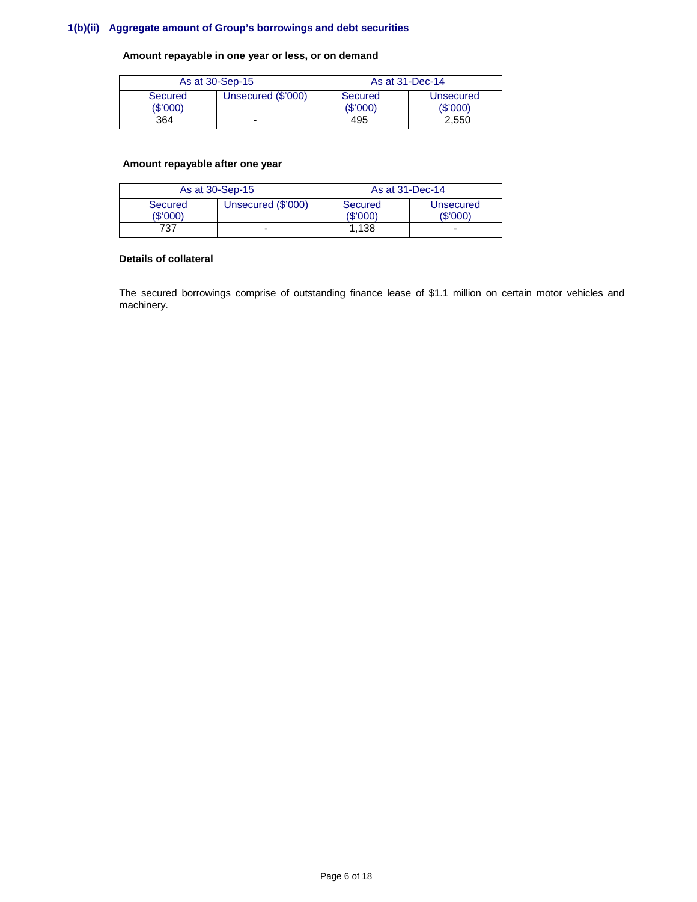# **1(b)(ii) Aggregate amount of Group's borrowings and debt securities**

**Amount repayable in one year or less, or on demand**

| As at 30-Sep-15   |                    | As at 31-Dec-14     |                              |
|-------------------|--------------------|---------------------|------------------------------|
| Secured<br>\$'000 | Unsecured (\$'000) | Secured<br>(\$'000) | <b>Unsecured</b><br>(\$'000) |
| 364               | $\blacksquare$     | 495                 | 2.550                        |

# **Amount repayable after one year**

|                     | As at 30-Sep-15    |                     | As at 31-Dec-14      |
|---------------------|--------------------|---------------------|----------------------|
| Secured<br>(\$'000) | Unsecured (\$'000) | Secured<br>(\$'000) | Unsecured<br>(S'000) |
| 737                 | -                  | 1.138               | -                    |

### **Details of collateral**

The secured borrowings comprise of outstanding finance lease of \$1.1 million on certain motor vehicles and machinery.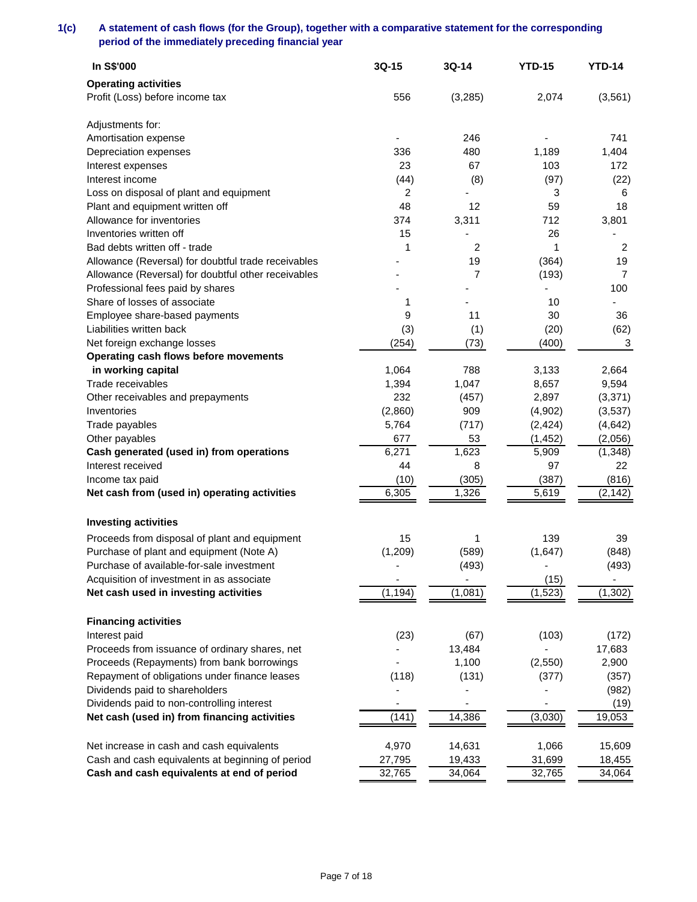# **1(c) A statement of cash flows (for the Group), together with a comparative statement for the corresponding period of the immediately preceding financial year**

| <b>Operating activities</b><br>Profit (Loss) before income tax<br>556<br>(3,285)<br>2,074<br>(3, 561)<br>Adjustments for:<br>Amortisation expense<br>246<br>741<br>336<br>480<br>1,404<br>Depreciation expenses<br>1,189<br>23<br>67<br>103<br>172<br>Interest expenses<br>Interest income<br>(44)<br>(8)<br>(97)<br>(22)<br>2<br>3<br>Loss on disposal of plant and equipment<br>6<br>48<br>12<br>59<br>18<br>Plant and equipment written off<br>Allowance for inventories<br>374<br>3,311<br>3,801<br>712<br>15<br>26<br>Inventories written off<br>Bad debts written off - trade<br>1<br>$\overline{c}$<br>1<br>2<br>Allowance (Reversal) for doubtful trade receivables<br>19<br>(364)<br>19<br>Allowance (Reversal) for doubtful other receivables<br>7<br>(193)<br>$\overline{7}$<br>Professional fees paid by shares<br>100<br>Share of losses of associate<br>10<br>1<br>30<br>Employee share-based payments<br>9<br>11<br>36<br>Liabilities written back<br>(3)<br>(1)<br>(20)<br>(62)<br>Net foreign exchange losses<br>(254)<br>(73)<br>(400)<br>3<br>Operating cash flows before movements<br>1,064<br>3,133<br>2,664<br>in working capital<br>788<br>Trade receivables<br>1,394<br>8,657<br>9,594<br>1,047<br>232<br>2,897<br>(3, 371)<br>Other receivables and prepayments<br>(457)<br>(2,860)<br>Inventories<br>909<br>(4,902)<br>(3,537)<br>Trade payables<br>5,764<br>(717)<br>(2, 424)<br>(4, 642)<br>677<br>Other payables<br>53<br>(1, 452)<br>(2,056)<br>6,271<br>Cash generated (used in) from operations<br>1,623<br>5,909<br>(1,348)<br>44<br>Interest received<br>8<br>97<br>22<br>Income tax paid<br>(10)<br>(305)<br>(387)<br>(816)<br>Net cash from (used in) operating activities<br>6,305<br>1,326<br>5,619<br>(2, 142)<br><b>Investing activities</b><br>15<br>139<br>Proceeds from disposal of plant and equipment<br>1<br>39<br>Purchase of plant and equipment (Note A)<br>(1,209)<br>(589)<br>(1,647)<br>(848)<br>Purchase of available-for-sale investment<br>(493)<br>(493)<br>(15)<br>Acquisition of investment in as associate<br>(1, 302)<br>(1, 194)<br>(1,081)<br>(1, 523)<br>Net cash used in investing activities<br><b>Financing activities</b><br>Interest paid<br>(23)<br>(67)<br>(103)<br>(172)<br>Proceeds from issuance of ordinary shares, net<br>13,484<br>17,683<br>Proceeds (Repayments) from bank borrowings<br>2,900<br>1,100<br>(2,550)<br>Repayment of obligations under finance leases<br>(118)<br>(131)<br>(357)<br>(377)<br>Dividends paid to shareholders<br>(982)<br>Dividends paid to non-controlling interest<br>(19)<br>Net cash (used in) from financing activities<br>(141)<br>14,386<br>(3,030)<br>19,053<br>Net increase in cash and cash equivalents<br>4,970<br>14,631<br>1,066<br>15,609<br>Cash and cash equivalents at beginning of period<br>27,795<br>19,433<br>31,699<br>18,455<br>Cash and cash equivalents at end of period<br>32,765<br>34,064<br>32,765<br>34,064 | In S\$'000 | 3Q-15 | 3Q-14 | <b>YTD-15</b> | <b>YTD-14</b> |
|-----------------------------------------------------------------------------------------------------------------------------------------------------------------------------------------------------------------------------------------------------------------------------------------------------------------------------------------------------------------------------------------------------------------------------------------------------------------------------------------------------------------------------------------------------------------------------------------------------------------------------------------------------------------------------------------------------------------------------------------------------------------------------------------------------------------------------------------------------------------------------------------------------------------------------------------------------------------------------------------------------------------------------------------------------------------------------------------------------------------------------------------------------------------------------------------------------------------------------------------------------------------------------------------------------------------------------------------------------------------------------------------------------------------------------------------------------------------------------------------------------------------------------------------------------------------------------------------------------------------------------------------------------------------------------------------------------------------------------------------------------------------------------------------------------------------------------------------------------------------------------------------------------------------------------------------------------------------------------------------------------------------------------------------------------------------------------------------------------------------------------------------------------------------------------------------------------------------------------------------------------------------------------------------------------------------------------------------------------------------------------------------------------------------------------------------------------------------------------------------------------------------------------------------------------------------------------------------------------------------------------------------------------------------------------------------------------------------------------------------------------------------------------------------------------------------------------------------------------------------------------------------------------------------------------------------------------|------------|-------|-------|---------------|---------------|
|                                                                                                                                                                                                                                                                                                                                                                                                                                                                                                                                                                                                                                                                                                                                                                                                                                                                                                                                                                                                                                                                                                                                                                                                                                                                                                                                                                                                                                                                                                                                                                                                                                                                                                                                                                                                                                                                                                                                                                                                                                                                                                                                                                                                                                                                                                                                                                                                                                                                                                                                                                                                                                                                                                                                                                                                                                                                                                                                                     |            |       |       |               |               |
|                                                                                                                                                                                                                                                                                                                                                                                                                                                                                                                                                                                                                                                                                                                                                                                                                                                                                                                                                                                                                                                                                                                                                                                                                                                                                                                                                                                                                                                                                                                                                                                                                                                                                                                                                                                                                                                                                                                                                                                                                                                                                                                                                                                                                                                                                                                                                                                                                                                                                                                                                                                                                                                                                                                                                                                                                                                                                                                                                     |            |       |       |               |               |
|                                                                                                                                                                                                                                                                                                                                                                                                                                                                                                                                                                                                                                                                                                                                                                                                                                                                                                                                                                                                                                                                                                                                                                                                                                                                                                                                                                                                                                                                                                                                                                                                                                                                                                                                                                                                                                                                                                                                                                                                                                                                                                                                                                                                                                                                                                                                                                                                                                                                                                                                                                                                                                                                                                                                                                                                                                                                                                                                                     |            |       |       |               |               |
|                                                                                                                                                                                                                                                                                                                                                                                                                                                                                                                                                                                                                                                                                                                                                                                                                                                                                                                                                                                                                                                                                                                                                                                                                                                                                                                                                                                                                                                                                                                                                                                                                                                                                                                                                                                                                                                                                                                                                                                                                                                                                                                                                                                                                                                                                                                                                                                                                                                                                                                                                                                                                                                                                                                                                                                                                                                                                                                                                     |            |       |       |               |               |
|                                                                                                                                                                                                                                                                                                                                                                                                                                                                                                                                                                                                                                                                                                                                                                                                                                                                                                                                                                                                                                                                                                                                                                                                                                                                                                                                                                                                                                                                                                                                                                                                                                                                                                                                                                                                                                                                                                                                                                                                                                                                                                                                                                                                                                                                                                                                                                                                                                                                                                                                                                                                                                                                                                                                                                                                                                                                                                                                                     |            |       |       |               |               |
|                                                                                                                                                                                                                                                                                                                                                                                                                                                                                                                                                                                                                                                                                                                                                                                                                                                                                                                                                                                                                                                                                                                                                                                                                                                                                                                                                                                                                                                                                                                                                                                                                                                                                                                                                                                                                                                                                                                                                                                                                                                                                                                                                                                                                                                                                                                                                                                                                                                                                                                                                                                                                                                                                                                                                                                                                                                                                                                                                     |            |       |       |               |               |
|                                                                                                                                                                                                                                                                                                                                                                                                                                                                                                                                                                                                                                                                                                                                                                                                                                                                                                                                                                                                                                                                                                                                                                                                                                                                                                                                                                                                                                                                                                                                                                                                                                                                                                                                                                                                                                                                                                                                                                                                                                                                                                                                                                                                                                                                                                                                                                                                                                                                                                                                                                                                                                                                                                                                                                                                                                                                                                                                                     |            |       |       |               |               |
|                                                                                                                                                                                                                                                                                                                                                                                                                                                                                                                                                                                                                                                                                                                                                                                                                                                                                                                                                                                                                                                                                                                                                                                                                                                                                                                                                                                                                                                                                                                                                                                                                                                                                                                                                                                                                                                                                                                                                                                                                                                                                                                                                                                                                                                                                                                                                                                                                                                                                                                                                                                                                                                                                                                                                                                                                                                                                                                                                     |            |       |       |               |               |
|                                                                                                                                                                                                                                                                                                                                                                                                                                                                                                                                                                                                                                                                                                                                                                                                                                                                                                                                                                                                                                                                                                                                                                                                                                                                                                                                                                                                                                                                                                                                                                                                                                                                                                                                                                                                                                                                                                                                                                                                                                                                                                                                                                                                                                                                                                                                                                                                                                                                                                                                                                                                                                                                                                                                                                                                                                                                                                                                                     |            |       |       |               |               |
|                                                                                                                                                                                                                                                                                                                                                                                                                                                                                                                                                                                                                                                                                                                                                                                                                                                                                                                                                                                                                                                                                                                                                                                                                                                                                                                                                                                                                                                                                                                                                                                                                                                                                                                                                                                                                                                                                                                                                                                                                                                                                                                                                                                                                                                                                                                                                                                                                                                                                                                                                                                                                                                                                                                                                                                                                                                                                                                                                     |            |       |       |               |               |
|                                                                                                                                                                                                                                                                                                                                                                                                                                                                                                                                                                                                                                                                                                                                                                                                                                                                                                                                                                                                                                                                                                                                                                                                                                                                                                                                                                                                                                                                                                                                                                                                                                                                                                                                                                                                                                                                                                                                                                                                                                                                                                                                                                                                                                                                                                                                                                                                                                                                                                                                                                                                                                                                                                                                                                                                                                                                                                                                                     |            |       |       |               |               |
|                                                                                                                                                                                                                                                                                                                                                                                                                                                                                                                                                                                                                                                                                                                                                                                                                                                                                                                                                                                                                                                                                                                                                                                                                                                                                                                                                                                                                                                                                                                                                                                                                                                                                                                                                                                                                                                                                                                                                                                                                                                                                                                                                                                                                                                                                                                                                                                                                                                                                                                                                                                                                                                                                                                                                                                                                                                                                                                                                     |            |       |       |               |               |
|                                                                                                                                                                                                                                                                                                                                                                                                                                                                                                                                                                                                                                                                                                                                                                                                                                                                                                                                                                                                                                                                                                                                                                                                                                                                                                                                                                                                                                                                                                                                                                                                                                                                                                                                                                                                                                                                                                                                                                                                                                                                                                                                                                                                                                                                                                                                                                                                                                                                                                                                                                                                                                                                                                                                                                                                                                                                                                                                                     |            |       |       |               |               |
|                                                                                                                                                                                                                                                                                                                                                                                                                                                                                                                                                                                                                                                                                                                                                                                                                                                                                                                                                                                                                                                                                                                                                                                                                                                                                                                                                                                                                                                                                                                                                                                                                                                                                                                                                                                                                                                                                                                                                                                                                                                                                                                                                                                                                                                                                                                                                                                                                                                                                                                                                                                                                                                                                                                                                                                                                                                                                                                                                     |            |       |       |               |               |
|                                                                                                                                                                                                                                                                                                                                                                                                                                                                                                                                                                                                                                                                                                                                                                                                                                                                                                                                                                                                                                                                                                                                                                                                                                                                                                                                                                                                                                                                                                                                                                                                                                                                                                                                                                                                                                                                                                                                                                                                                                                                                                                                                                                                                                                                                                                                                                                                                                                                                                                                                                                                                                                                                                                                                                                                                                                                                                                                                     |            |       |       |               |               |
|                                                                                                                                                                                                                                                                                                                                                                                                                                                                                                                                                                                                                                                                                                                                                                                                                                                                                                                                                                                                                                                                                                                                                                                                                                                                                                                                                                                                                                                                                                                                                                                                                                                                                                                                                                                                                                                                                                                                                                                                                                                                                                                                                                                                                                                                                                                                                                                                                                                                                                                                                                                                                                                                                                                                                                                                                                                                                                                                                     |            |       |       |               |               |
|                                                                                                                                                                                                                                                                                                                                                                                                                                                                                                                                                                                                                                                                                                                                                                                                                                                                                                                                                                                                                                                                                                                                                                                                                                                                                                                                                                                                                                                                                                                                                                                                                                                                                                                                                                                                                                                                                                                                                                                                                                                                                                                                                                                                                                                                                                                                                                                                                                                                                                                                                                                                                                                                                                                                                                                                                                                                                                                                                     |            |       |       |               |               |
|                                                                                                                                                                                                                                                                                                                                                                                                                                                                                                                                                                                                                                                                                                                                                                                                                                                                                                                                                                                                                                                                                                                                                                                                                                                                                                                                                                                                                                                                                                                                                                                                                                                                                                                                                                                                                                                                                                                                                                                                                                                                                                                                                                                                                                                                                                                                                                                                                                                                                                                                                                                                                                                                                                                                                                                                                                                                                                                                                     |            |       |       |               |               |
|                                                                                                                                                                                                                                                                                                                                                                                                                                                                                                                                                                                                                                                                                                                                                                                                                                                                                                                                                                                                                                                                                                                                                                                                                                                                                                                                                                                                                                                                                                                                                                                                                                                                                                                                                                                                                                                                                                                                                                                                                                                                                                                                                                                                                                                                                                                                                                                                                                                                                                                                                                                                                                                                                                                                                                                                                                                                                                                                                     |            |       |       |               |               |
|                                                                                                                                                                                                                                                                                                                                                                                                                                                                                                                                                                                                                                                                                                                                                                                                                                                                                                                                                                                                                                                                                                                                                                                                                                                                                                                                                                                                                                                                                                                                                                                                                                                                                                                                                                                                                                                                                                                                                                                                                                                                                                                                                                                                                                                                                                                                                                                                                                                                                                                                                                                                                                                                                                                                                                                                                                                                                                                                                     |            |       |       |               |               |
|                                                                                                                                                                                                                                                                                                                                                                                                                                                                                                                                                                                                                                                                                                                                                                                                                                                                                                                                                                                                                                                                                                                                                                                                                                                                                                                                                                                                                                                                                                                                                                                                                                                                                                                                                                                                                                                                                                                                                                                                                                                                                                                                                                                                                                                                                                                                                                                                                                                                                                                                                                                                                                                                                                                                                                                                                                                                                                                                                     |            |       |       |               |               |
|                                                                                                                                                                                                                                                                                                                                                                                                                                                                                                                                                                                                                                                                                                                                                                                                                                                                                                                                                                                                                                                                                                                                                                                                                                                                                                                                                                                                                                                                                                                                                                                                                                                                                                                                                                                                                                                                                                                                                                                                                                                                                                                                                                                                                                                                                                                                                                                                                                                                                                                                                                                                                                                                                                                                                                                                                                                                                                                                                     |            |       |       |               |               |
|                                                                                                                                                                                                                                                                                                                                                                                                                                                                                                                                                                                                                                                                                                                                                                                                                                                                                                                                                                                                                                                                                                                                                                                                                                                                                                                                                                                                                                                                                                                                                                                                                                                                                                                                                                                                                                                                                                                                                                                                                                                                                                                                                                                                                                                                                                                                                                                                                                                                                                                                                                                                                                                                                                                                                                                                                                                                                                                                                     |            |       |       |               |               |
|                                                                                                                                                                                                                                                                                                                                                                                                                                                                                                                                                                                                                                                                                                                                                                                                                                                                                                                                                                                                                                                                                                                                                                                                                                                                                                                                                                                                                                                                                                                                                                                                                                                                                                                                                                                                                                                                                                                                                                                                                                                                                                                                                                                                                                                                                                                                                                                                                                                                                                                                                                                                                                                                                                                                                                                                                                                                                                                                                     |            |       |       |               |               |
|                                                                                                                                                                                                                                                                                                                                                                                                                                                                                                                                                                                                                                                                                                                                                                                                                                                                                                                                                                                                                                                                                                                                                                                                                                                                                                                                                                                                                                                                                                                                                                                                                                                                                                                                                                                                                                                                                                                                                                                                                                                                                                                                                                                                                                                                                                                                                                                                                                                                                                                                                                                                                                                                                                                                                                                                                                                                                                                                                     |            |       |       |               |               |
|                                                                                                                                                                                                                                                                                                                                                                                                                                                                                                                                                                                                                                                                                                                                                                                                                                                                                                                                                                                                                                                                                                                                                                                                                                                                                                                                                                                                                                                                                                                                                                                                                                                                                                                                                                                                                                                                                                                                                                                                                                                                                                                                                                                                                                                                                                                                                                                                                                                                                                                                                                                                                                                                                                                                                                                                                                                                                                                                                     |            |       |       |               |               |
|                                                                                                                                                                                                                                                                                                                                                                                                                                                                                                                                                                                                                                                                                                                                                                                                                                                                                                                                                                                                                                                                                                                                                                                                                                                                                                                                                                                                                                                                                                                                                                                                                                                                                                                                                                                                                                                                                                                                                                                                                                                                                                                                                                                                                                                                                                                                                                                                                                                                                                                                                                                                                                                                                                                                                                                                                                                                                                                                                     |            |       |       |               |               |
|                                                                                                                                                                                                                                                                                                                                                                                                                                                                                                                                                                                                                                                                                                                                                                                                                                                                                                                                                                                                                                                                                                                                                                                                                                                                                                                                                                                                                                                                                                                                                                                                                                                                                                                                                                                                                                                                                                                                                                                                                                                                                                                                                                                                                                                                                                                                                                                                                                                                                                                                                                                                                                                                                                                                                                                                                                                                                                                                                     |            |       |       |               |               |
|                                                                                                                                                                                                                                                                                                                                                                                                                                                                                                                                                                                                                                                                                                                                                                                                                                                                                                                                                                                                                                                                                                                                                                                                                                                                                                                                                                                                                                                                                                                                                                                                                                                                                                                                                                                                                                                                                                                                                                                                                                                                                                                                                                                                                                                                                                                                                                                                                                                                                                                                                                                                                                                                                                                                                                                                                                                                                                                                                     |            |       |       |               |               |
|                                                                                                                                                                                                                                                                                                                                                                                                                                                                                                                                                                                                                                                                                                                                                                                                                                                                                                                                                                                                                                                                                                                                                                                                                                                                                                                                                                                                                                                                                                                                                                                                                                                                                                                                                                                                                                                                                                                                                                                                                                                                                                                                                                                                                                                                                                                                                                                                                                                                                                                                                                                                                                                                                                                                                                                                                                                                                                                                                     |            |       |       |               |               |
|                                                                                                                                                                                                                                                                                                                                                                                                                                                                                                                                                                                                                                                                                                                                                                                                                                                                                                                                                                                                                                                                                                                                                                                                                                                                                                                                                                                                                                                                                                                                                                                                                                                                                                                                                                                                                                                                                                                                                                                                                                                                                                                                                                                                                                                                                                                                                                                                                                                                                                                                                                                                                                                                                                                                                                                                                                                                                                                                                     |            |       |       |               |               |
|                                                                                                                                                                                                                                                                                                                                                                                                                                                                                                                                                                                                                                                                                                                                                                                                                                                                                                                                                                                                                                                                                                                                                                                                                                                                                                                                                                                                                                                                                                                                                                                                                                                                                                                                                                                                                                                                                                                                                                                                                                                                                                                                                                                                                                                                                                                                                                                                                                                                                                                                                                                                                                                                                                                                                                                                                                                                                                                                                     |            |       |       |               |               |
|                                                                                                                                                                                                                                                                                                                                                                                                                                                                                                                                                                                                                                                                                                                                                                                                                                                                                                                                                                                                                                                                                                                                                                                                                                                                                                                                                                                                                                                                                                                                                                                                                                                                                                                                                                                                                                                                                                                                                                                                                                                                                                                                                                                                                                                                                                                                                                                                                                                                                                                                                                                                                                                                                                                                                                                                                                                                                                                                                     |            |       |       |               |               |
|                                                                                                                                                                                                                                                                                                                                                                                                                                                                                                                                                                                                                                                                                                                                                                                                                                                                                                                                                                                                                                                                                                                                                                                                                                                                                                                                                                                                                                                                                                                                                                                                                                                                                                                                                                                                                                                                                                                                                                                                                                                                                                                                                                                                                                                                                                                                                                                                                                                                                                                                                                                                                                                                                                                                                                                                                                                                                                                                                     |            |       |       |               |               |
|                                                                                                                                                                                                                                                                                                                                                                                                                                                                                                                                                                                                                                                                                                                                                                                                                                                                                                                                                                                                                                                                                                                                                                                                                                                                                                                                                                                                                                                                                                                                                                                                                                                                                                                                                                                                                                                                                                                                                                                                                                                                                                                                                                                                                                                                                                                                                                                                                                                                                                                                                                                                                                                                                                                                                                                                                                                                                                                                                     |            |       |       |               |               |
|                                                                                                                                                                                                                                                                                                                                                                                                                                                                                                                                                                                                                                                                                                                                                                                                                                                                                                                                                                                                                                                                                                                                                                                                                                                                                                                                                                                                                                                                                                                                                                                                                                                                                                                                                                                                                                                                                                                                                                                                                                                                                                                                                                                                                                                                                                                                                                                                                                                                                                                                                                                                                                                                                                                                                                                                                                                                                                                                                     |            |       |       |               |               |
|                                                                                                                                                                                                                                                                                                                                                                                                                                                                                                                                                                                                                                                                                                                                                                                                                                                                                                                                                                                                                                                                                                                                                                                                                                                                                                                                                                                                                                                                                                                                                                                                                                                                                                                                                                                                                                                                                                                                                                                                                                                                                                                                                                                                                                                                                                                                                                                                                                                                                                                                                                                                                                                                                                                                                                                                                                                                                                                                                     |            |       |       |               |               |
|                                                                                                                                                                                                                                                                                                                                                                                                                                                                                                                                                                                                                                                                                                                                                                                                                                                                                                                                                                                                                                                                                                                                                                                                                                                                                                                                                                                                                                                                                                                                                                                                                                                                                                                                                                                                                                                                                                                                                                                                                                                                                                                                                                                                                                                                                                                                                                                                                                                                                                                                                                                                                                                                                                                                                                                                                                                                                                                                                     |            |       |       |               |               |
|                                                                                                                                                                                                                                                                                                                                                                                                                                                                                                                                                                                                                                                                                                                                                                                                                                                                                                                                                                                                                                                                                                                                                                                                                                                                                                                                                                                                                                                                                                                                                                                                                                                                                                                                                                                                                                                                                                                                                                                                                                                                                                                                                                                                                                                                                                                                                                                                                                                                                                                                                                                                                                                                                                                                                                                                                                                                                                                                                     |            |       |       |               |               |
|                                                                                                                                                                                                                                                                                                                                                                                                                                                                                                                                                                                                                                                                                                                                                                                                                                                                                                                                                                                                                                                                                                                                                                                                                                                                                                                                                                                                                                                                                                                                                                                                                                                                                                                                                                                                                                                                                                                                                                                                                                                                                                                                                                                                                                                                                                                                                                                                                                                                                                                                                                                                                                                                                                                                                                                                                                                                                                                                                     |            |       |       |               |               |
|                                                                                                                                                                                                                                                                                                                                                                                                                                                                                                                                                                                                                                                                                                                                                                                                                                                                                                                                                                                                                                                                                                                                                                                                                                                                                                                                                                                                                                                                                                                                                                                                                                                                                                                                                                                                                                                                                                                                                                                                                                                                                                                                                                                                                                                                                                                                                                                                                                                                                                                                                                                                                                                                                                                                                                                                                                                                                                                                                     |            |       |       |               |               |
|                                                                                                                                                                                                                                                                                                                                                                                                                                                                                                                                                                                                                                                                                                                                                                                                                                                                                                                                                                                                                                                                                                                                                                                                                                                                                                                                                                                                                                                                                                                                                                                                                                                                                                                                                                                                                                                                                                                                                                                                                                                                                                                                                                                                                                                                                                                                                                                                                                                                                                                                                                                                                                                                                                                                                                                                                                                                                                                                                     |            |       |       |               |               |
|                                                                                                                                                                                                                                                                                                                                                                                                                                                                                                                                                                                                                                                                                                                                                                                                                                                                                                                                                                                                                                                                                                                                                                                                                                                                                                                                                                                                                                                                                                                                                                                                                                                                                                                                                                                                                                                                                                                                                                                                                                                                                                                                                                                                                                                                                                                                                                                                                                                                                                                                                                                                                                                                                                                                                                                                                                                                                                                                                     |            |       |       |               |               |
|                                                                                                                                                                                                                                                                                                                                                                                                                                                                                                                                                                                                                                                                                                                                                                                                                                                                                                                                                                                                                                                                                                                                                                                                                                                                                                                                                                                                                                                                                                                                                                                                                                                                                                                                                                                                                                                                                                                                                                                                                                                                                                                                                                                                                                                                                                                                                                                                                                                                                                                                                                                                                                                                                                                                                                                                                                                                                                                                                     |            |       |       |               |               |
|                                                                                                                                                                                                                                                                                                                                                                                                                                                                                                                                                                                                                                                                                                                                                                                                                                                                                                                                                                                                                                                                                                                                                                                                                                                                                                                                                                                                                                                                                                                                                                                                                                                                                                                                                                                                                                                                                                                                                                                                                                                                                                                                                                                                                                                                                                                                                                                                                                                                                                                                                                                                                                                                                                                                                                                                                                                                                                                                                     |            |       |       |               |               |
|                                                                                                                                                                                                                                                                                                                                                                                                                                                                                                                                                                                                                                                                                                                                                                                                                                                                                                                                                                                                                                                                                                                                                                                                                                                                                                                                                                                                                                                                                                                                                                                                                                                                                                                                                                                                                                                                                                                                                                                                                                                                                                                                                                                                                                                                                                                                                                                                                                                                                                                                                                                                                                                                                                                                                                                                                                                                                                                                                     |            |       |       |               |               |
|                                                                                                                                                                                                                                                                                                                                                                                                                                                                                                                                                                                                                                                                                                                                                                                                                                                                                                                                                                                                                                                                                                                                                                                                                                                                                                                                                                                                                                                                                                                                                                                                                                                                                                                                                                                                                                                                                                                                                                                                                                                                                                                                                                                                                                                                                                                                                                                                                                                                                                                                                                                                                                                                                                                                                                                                                                                                                                                                                     |            |       |       |               |               |
|                                                                                                                                                                                                                                                                                                                                                                                                                                                                                                                                                                                                                                                                                                                                                                                                                                                                                                                                                                                                                                                                                                                                                                                                                                                                                                                                                                                                                                                                                                                                                                                                                                                                                                                                                                                                                                                                                                                                                                                                                                                                                                                                                                                                                                                                                                                                                                                                                                                                                                                                                                                                                                                                                                                                                                                                                                                                                                                                                     |            |       |       |               |               |
|                                                                                                                                                                                                                                                                                                                                                                                                                                                                                                                                                                                                                                                                                                                                                                                                                                                                                                                                                                                                                                                                                                                                                                                                                                                                                                                                                                                                                                                                                                                                                                                                                                                                                                                                                                                                                                                                                                                                                                                                                                                                                                                                                                                                                                                                                                                                                                                                                                                                                                                                                                                                                                                                                                                                                                                                                                                                                                                                                     |            |       |       |               |               |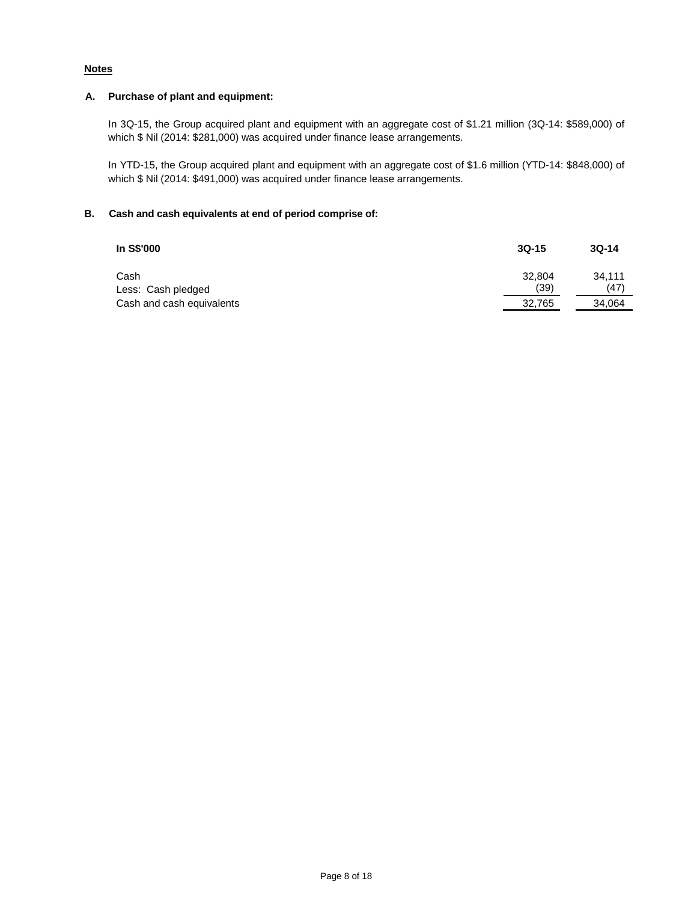# **Notes**

# **A. Purchase of plant and equipment:**

In 3Q-15, the Group acquired plant and equipment with an aggregate cost of \$1.21 million (3Q-14: \$589,000) of which \$ Nil (2014: \$281,000) was acquired under finance lease arrangements.

In YTD-15, the Group acquired plant and equipment with an aggregate cost of \$1.6 million (YTD-14: \$848,000) of which \$ Nil (2014: \$491,000) was acquired under finance lease arrangements.

# **B. Cash and cash equivalents at end of period comprise of:**

| In S\$'000                | $3Q-15$ | $3Q-14$ |
|---------------------------|---------|---------|
| Cash                      | 32.804  | 34.111  |
| Less: Cash pledged        | (39)    | (47     |
| Cash and cash equivalents | 32,765  | 34.064  |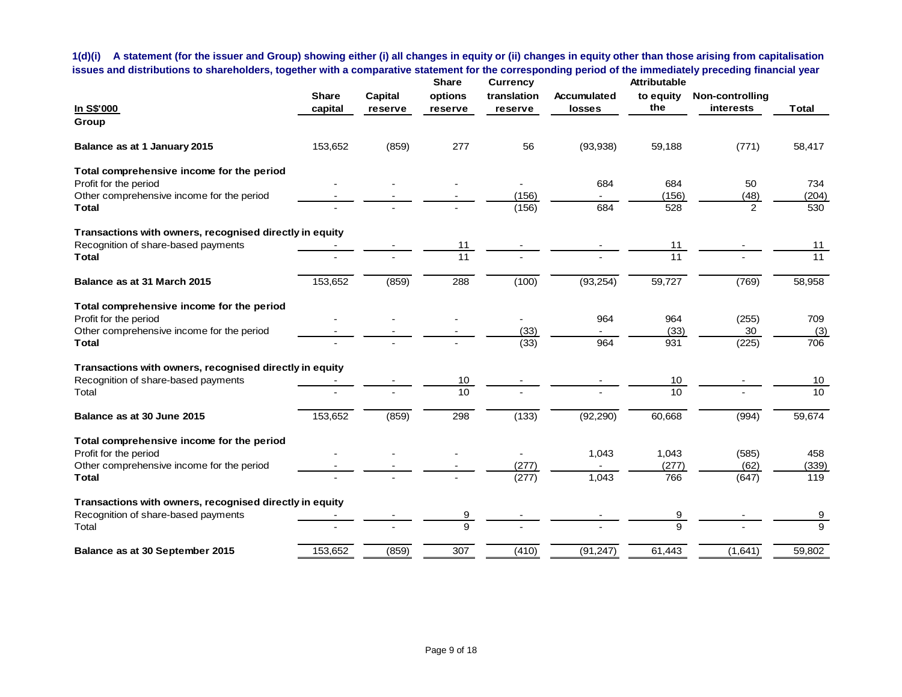**1(d)(i) A statement (for the issuer and Group) showing either (i) all changes in equity or (ii) changes in equity other than those arising from capitalisation issues and distributions to shareholders, together with a comparative statement for the corresponding period of the immediately preceding financial year**

| In S\$'000                                              | <b>Share</b><br>capital | <b>Capital</b><br>reserve | <b>Share</b><br>options<br>reserve | <b>Currency</b><br>translation<br>reserve | <b>Accumulated</b><br>losses | <b>Attributable</b><br>to equity<br>the | Non-controlling<br>interests | <b>Total</b> |
|---------------------------------------------------------|-------------------------|---------------------------|------------------------------------|-------------------------------------------|------------------------------|-----------------------------------------|------------------------------|--------------|
| Group                                                   |                         |                           |                                    |                                           |                              |                                         |                              |              |
| Balance as at 1 January 2015                            | 153,652                 | (859)                     | 277                                | 56                                        | (93,938)                     | 59,188                                  | (771)                        | 58,417       |
| Total comprehensive income for the period               |                         |                           |                                    |                                           |                              |                                         |                              |              |
| Profit for the period                                   |                         |                           |                                    |                                           | 684                          | 684                                     | 50                           | 734          |
| Other comprehensive income for the period               |                         |                           |                                    | (156)                                     |                              | (156)                                   | (48)                         | (204)        |
| <b>Total</b>                                            |                         |                           |                                    | (156)                                     | 684                          | 528                                     | 2                            | 530          |
| Transactions with owners, recognised directly in equity |                         |                           |                                    |                                           |                              |                                         |                              |              |
| Recognition of share-based payments                     |                         |                           | 11                                 |                                           |                              | 11                                      |                              | 11           |
| <b>Total</b>                                            |                         |                           | $\overline{11}$                    |                                           |                              | 11                                      |                              | 11           |
| Balance as at 31 March 2015                             | 153,652                 | (859)                     | 288                                | (100)                                     | (93, 254)                    | 59,727                                  | (769)                        | 58,958       |
| Total comprehensive income for the period               |                         |                           |                                    |                                           |                              |                                         |                              |              |
| Profit for the period                                   |                         |                           |                                    |                                           | 964                          | 964                                     | (255)                        | 709          |
| Other comprehensive income for the period               |                         |                           |                                    | (33)                                      |                              | (33)                                    | 30                           | (3)          |
| <b>Total</b>                                            |                         |                           |                                    | (33)                                      | 964                          | 931                                     | (225)                        | 706          |
| Transactions with owners, recognised directly in equity |                         |                           |                                    |                                           |                              |                                         |                              |              |
| Recognition of share-based payments                     |                         |                           | 10                                 |                                           |                              | 10                                      |                              | 10           |
| Total                                                   |                         |                           | 10                                 |                                           |                              | 10                                      |                              | 10           |
| Balance as at 30 June 2015                              | 153,652                 | (859)                     | 298                                | (133)                                     | (92, 290)                    | 60,668                                  | (994)                        | 59,674       |
| Total comprehensive income for the period               |                         |                           |                                    |                                           |                              |                                         |                              |              |
| Profit for the period                                   |                         |                           |                                    |                                           | 1,043                        | 1,043                                   | (585)                        | 458          |
| Other comprehensive income for the period               |                         |                           |                                    | (277)                                     |                              | (277)                                   | (62)                         | (339)        |
| <b>Total</b>                                            |                         |                           |                                    | (277)                                     | 1,043                        | 766                                     | (647)                        | 119          |
| Transactions with owners, recognised directly in equity |                         |                           |                                    |                                           |                              |                                         |                              |              |
| Recognition of share-based payments                     |                         |                           | 9                                  |                                           |                              | 9                                       |                              | 9            |
| Total                                                   |                         |                           | 9                                  |                                           |                              | 9                                       |                              | 9            |
| Balance as at 30 September 2015                         | 153,652                 | (859)                     | 307                                | (410)                                     | (91, 247)                    | 61,443                                  | (1,641)                      | 59,802       |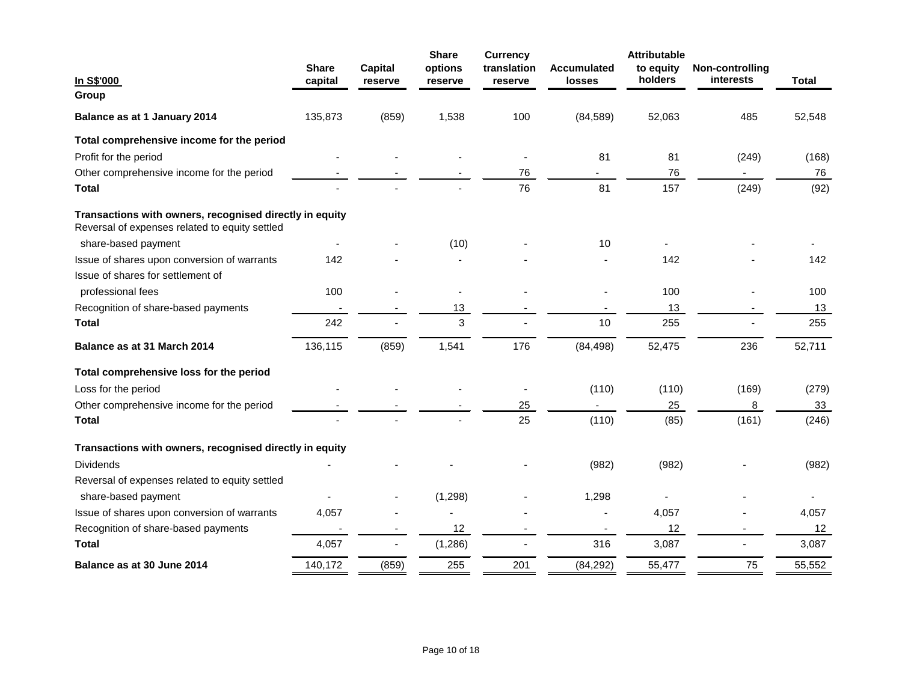| In S\$'000                                                                                                | <b>Share</b><br>capital | <b>Capital</b><br>reserve | <b>Share</b><br>options<br>reserve | <b>Currency</b><br>translation<br>reserve | <b>Accumulated</b><br>losses | <b>Attributable</b><br>to equity<br>holders | Non-controlling<br>interests | <b>Total</b> |
|-----------------------------------------------------------------------------------------------------------|-------------------------|---------------------------|------------------------------------|-------------------------------------------|------------------------------|---------------------------------------------|------------------------------|--------------|
| Group                                                                                                     |                         |                           |                                    |                                           |                              |                                             |                              |              |
| Balance as at 1 January 2014                                                                              | 135,873                 | (859)                     | 1,538                              | 100                                       | (84, 589)                    | 52,063                                      | 485                          | 52,548       |
| Total comprehensive income for the period                                                                 |                         |                           |                                    |                                           |                              |                                             |                              |              |
| Profit for the period                                                                                     |                         |                           |                                    |                                           | 81                           | 81                                          | (249)                        | (168)        |
| Other comprehensive income for the period                                                                 |                         |                           |                                    | 76                                        |                              | 76                                          |                              | 76           |
| Total                                                                                                     |                         |                           |                                    | 76                                        | 81                           | 157                                         | (249)                        | (92)         |
| Transactions with owners, recognised directly in equity<br>Reversal of expenses related to equity settled |                         |                           |                                    |                                           |                              |                                             |                              |              |
| share-based payment                                                                                       |                         |                           | (10)                               |                                           | 10                           |                                             |                              |              |
| Issue of shares upon conversion of warrants                                                               | 142                     |                           |                                    |                                           |                              | 142                                         |                              | 142          |
| Issue of shares for settlement of                                                                         |                         |                           |                                    |                                           |                              |                                             |                              |              |
| professional fees                                                                                         | 100                     |                           |                                    |                                           |                              | 100                                         |                              | 100          |
| Recognition of share-based payments                                                                       |                         |                           | 13                                 |                                           |                              | 13                                          |                              | 13           |
| <b>Total</b>                                                                                              | 242                     |                           | 3                                  |                                           | 10                           | 255                                         |                              | 255          |
| Balance as at 31 March 2014                                                                               | 136,115                 | (859)                     | 1,541                              | 176                                       | (84, 498)                    | 52,475                                      | 236                          | 52,711       |
| Total comprehensive loss for the period                                                                   |                         |                           |                                    |                                           |                              |                                             |                              |              |
| Loss for the period                                                                                       |                         |                           |                                    |                                           | (110)                        | (110)                                       | (169)                        | (279)        |
| Other comprehensive income for the period                                                                 |                         |                           |                                    | 25                                        |                              | <u>25</u>                                   | 8                            | 33           |
| Total                                                                                                     |                         |                           |                                    | 25                                        | (110)                        | (85)                                        | (161)                        | (246)        |
| Transactions with owners, recognised directly in equity                                                   |                         |                           |                                    |                                           |                              |                                             |                              |              |
| Dividends                                                                                                 |                         |                           |                                    |                                           | (982)                        | (982)                                       |                              | (982)        |
| Reversal of expenses related to equity settled                                                            |                         |                           |                                    |                                           |                              |                                             |                              |              |
| share-based payment                                                                                       |                         |                           | (1, 298)                           |                                           | 1,298                        |                                             |                              |              |
| Issue of shares upon conversion of warrants                                                               | 4,057                   |                           |                                    |                                           | ÷,                           | 4,057                                       |                              | 4,057        |
| Recognition of share-based payments                                                                       |                         |                           | 12                                 |                                           |                              | 12                                          |                              | 12           |
| <b>Total</b>                                                                                              | 4,057                   |                           | (1, 286)                           |                                           | 316                          | 3,087                                       |                              | 3,087        |
| Balance as at 30 June 2014                                                                                | 140,172                 | (859)                     | 255                                | 201                                       | (84, 292)                    | 55,477                                      | 75                           | 55,552       |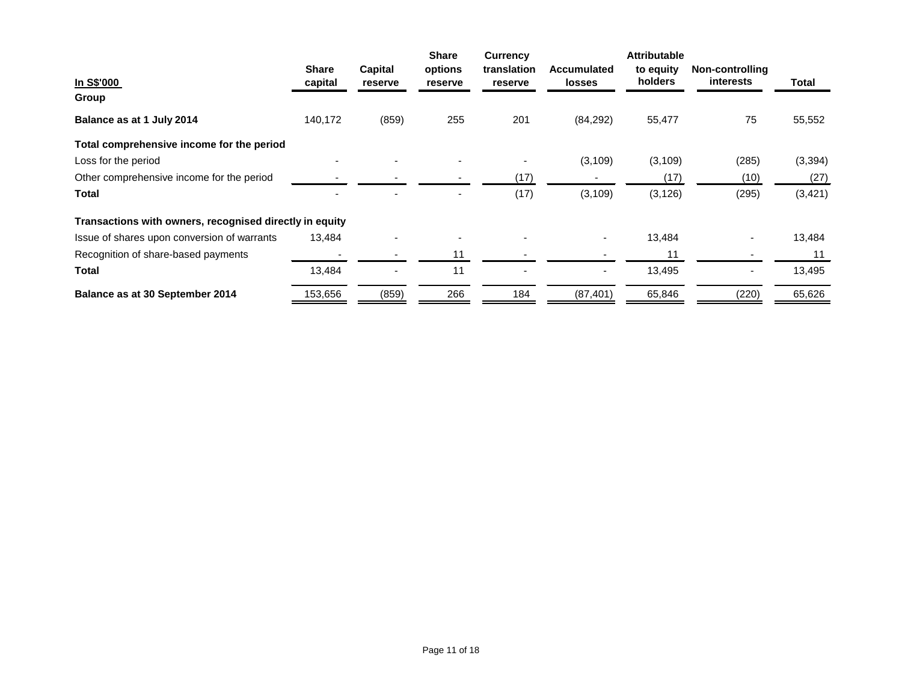|                                                         |                          |                    | <b>Share</b>             | <b>Currency</b>        |                                     | <b>Attributable</b>  |                                     |          |
|---------------------------------------------------------|--------------------------|--------------------|--------------------------|------------------------|-------------------------------------|----------------------|-------------------------------------|----------|
| In S\$'000                                              | <b>Share</b><br>capital  | Capital<br>reserve | options<br>reserve       | translation<br>reserve | <b>Accumulated</b><br><b>losses</b> | to equity<br>holders | Non-controlling<br><i>interests</i> | Total    |
| Group                                                   |                          |                    |                          |                        |                                     |                      |                                     |          |
| Balance as at 1 July 2014                               | 140,172                  | (859)              | 255                      | 201                    | (84, 292)                           | 55,477               | 75                                  | 55,552   |
| Total comprehensive income for the period               |                          |                    |                          |                        |                                     |                      |                                     |          |
| Loss for the period                                     |                          |                    |                          |                        | (3, 109)                            | (3, 109)             | (285)                               | (3, 394) |
| Other comprehensive income for the period               |                          |                    |                          | (17)                   |                                     | (17)                 | (10)                                | (27)     |
| Total                                                   | $\overline{\phantom{0}}$ |                    | $\overline{\phantom{a}}$ | (17)                   | (3, 109)                            | (3, 126)             | (295)                               | (3, 421) |
| Transactions with owners, recognised directly in equity |                          |                    |                          |                        |                                     |                      |                                     |          |
| Issue of shares upon conversion of warrants             | 13,484                   |                    |                          |                        | $\qquad \qquad \blacksquare$        | 13,484               |                                     | 13,484   |
| Recognition of share-based payments                     |                          |                    | 11                       |                        |                                     | 11                   |                                     | 11       |
| Total                                                   | 13,484                   |                    | 11                       |                        | ۰                                   | 13,495               |                                     | 13,495   |
| Balance as at 30 September 2014                         | 153,656                  | (859)              | 266                      | 184                    | (87, 401)                           | 65,846               | (220)                               | 65,626   |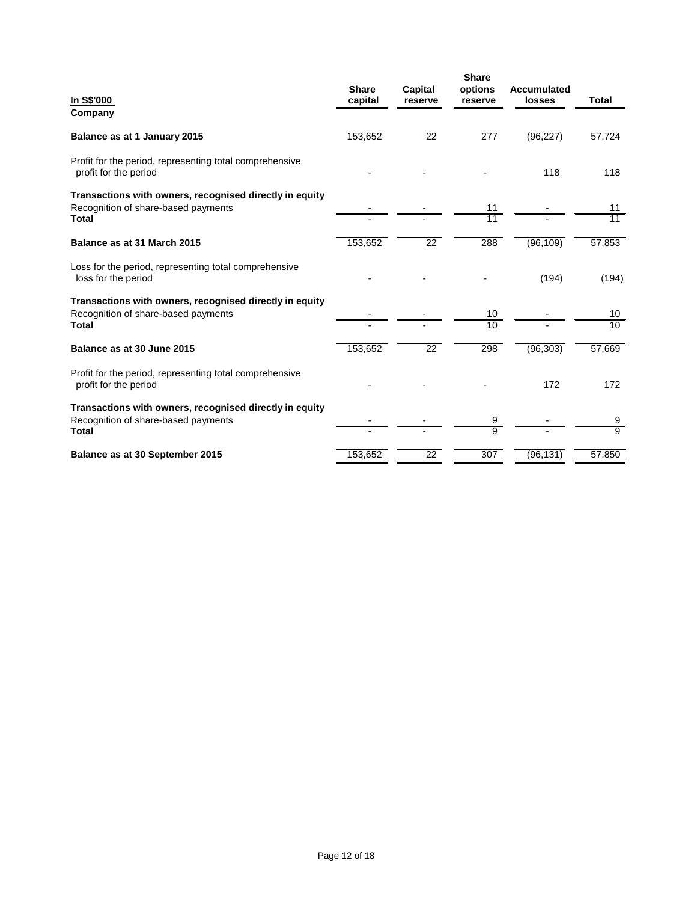| <b>In S\$'000</b>                                                                                              | <b>Share</b><br>capital | Capital<br>reserve | <b>Share</b><br>options<br>reserve | <b>Accumulated</b><br>losses | Total               |
|----------------------------------------------------------------------------------------------------------------|-------------------------|--------------------|------------------------------------|------------------------------|---------------------|
| Company                                                                                                        |                         |                    |                                    |                              |                     |
| Balance as at 1 January 2015                                                                                   | 153,652                 | 22                 | 277                                | (96, 227)                    | 57,724              |
| Profit for the period, representing total comprehensive<br>profit for the period                               |                         |                    |                                    | 118                          | 118                 |
| Transactions with owners, recognised directly in equity<br>Recognition of share-based payments<br><b>Total</b> |                         |                    | 11<br>11                           |                              | 11<br>11            |
| Balance as at 31 March 2015                                                                                    | 153,652                 | $\overline{22}$    | 288                                | (96, 109)                    | 57,853              |
| Loss for the period, representing total comprehensive<br>loss for the period                                   |                         |                    |                                    | (194)                        | (194)               |
| Transactions with owners, recognised directly in equity<br>Recognition of share-based payments<br><b>Total</b> |                         |                    | 10<br>$\overline{10}$              |                              | 10<br>10            |
| Balance as at 30 June 2015                                                                                     | 153,652                 | $\overline{22}$    | 298                                | (96, 303)                    | 57,669              |
| Profit for the period, representing total comprehensive<br>profit for the period                               |                         |                    |                                    | 172                          | 172                 |
| Transactions with owners, recognised directly in equity<br>Recognition of share-based payments<br>Total        |                         |                    | $\frac{9}{9}$                      |                              | 9<br>$\overline{9}$ |
| Balance as at 30 September 2015                                                                                | 153,652                 | 22                 | 307                                | (96, 131)                    | 57,850              |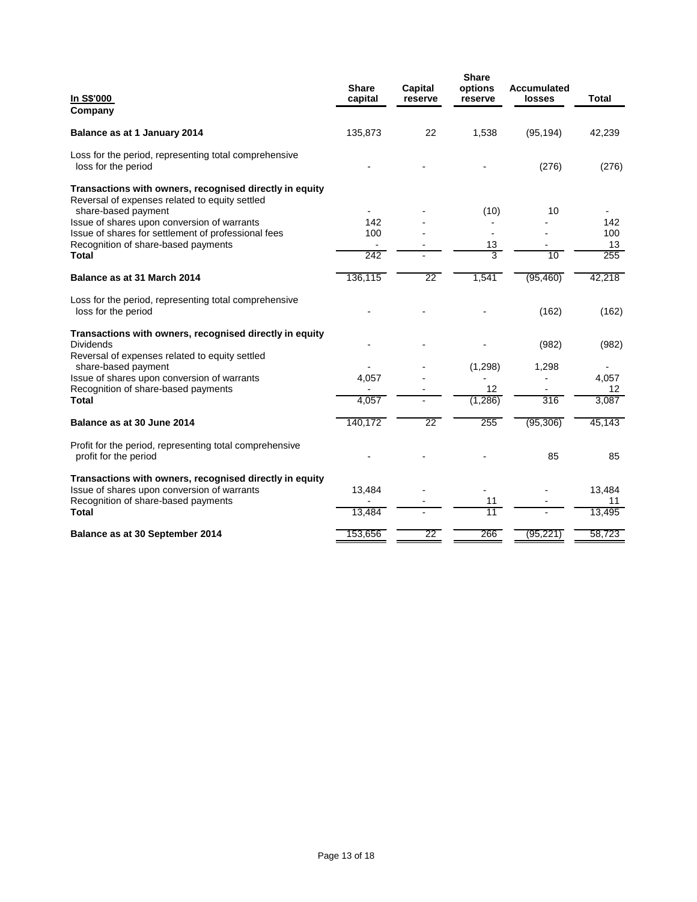| In S\$'000<br>Company                                                                                                                                                                                                                                                                  | <b>Share</b><br>capital | Capital<br>reserve | <b>Share</b><br>options<br>reserve | <b>Accumulated</b><br><b>losses</b> | <b>Total</b>                               |
|----------------------------------------------------------------------------------------------------------------------------------------------------------------------------------------------------------------------------------------------------------------------------------------|-------------------------|--------------------|------------------------------------|-------------------------------------|--------------------------------------------|
| Balance as at 1 January 2014                                                                                                                                                                                                                                                           | 135,873                 | 22                 | 1,538                              | (95, 194)                           | 42,239                                     |
| Loss for the period, representing total comprehensive<br>loss for the period                                                                                                                                                                                                           |                         |                    |                                    | (276)                               | (276)                                      |
| Transactions with owners, recognised directly in equity<br>Reversal of expenses related to equity settled<br>share-based payment<br>Issue of shares upon conversion of warrants<br>Issue of shares for settlement of professional fees<br>Recognition of share-based payments<br>Total | 142<br>100<br>242       |                    | (10)<br>13<br>$\overline{3}$       | 10<br>10                            | 142<br>100<br>13<br>255                    |
| Balance as at 31 March 2014                                                                                                                                                                                                                                                            | 136,115                 | 22                 | 1,541                              | (95, 460)                           | 42,218                                     |
| Loss for the period, representing total comprehensive<br>loss for the period                                                                                                                                                                                                           |                         |                    |                                    | (162)                               | (162)                                      |
| Transactions with owners, recognised directly in equity<br><b>Dividends</b><br>Reversal of expenses related to equity settled<br>share-based payment<br>Issue of shares upon conversion of warrants<br>Recognition of share-based payments<br><b>Total</b>                             | 4,057<br>4,057          |                    | (1, 298)<br>12<br>(1, 286)         | (982)<br>1,298<br>316               | (982)<br>4,057<br>12 <sup>2</sup><br>3,087 |
| Balance as at 30 June 2014                                                                                                                                                                                                                                                             | 140,172                 | 22                 | 255                                | (95, 306)                           | 45,143                                     |
| Profit for the period, representing total comprehensive<br>profit for the period                                                                                                                                                                                                       |                         |                    |                                    | 85                                  | 85                                         |
| Transactions with owners, recognised directly in equity<br>Issue of shares upon conversion of warrants<br>Recognition of share-based payments<br><b>Total</b>                                                                                                                          | 13,484<br>13,484        |                    | 11<br>11                           |                                     | 13,484<br>11<br>13,495                     |
| Balance as at 30 September 2014                                                                                                                                                                                                                                                        | 153,656                 | 22                 | 266                                | (95, 221)                           | 58,723                                     |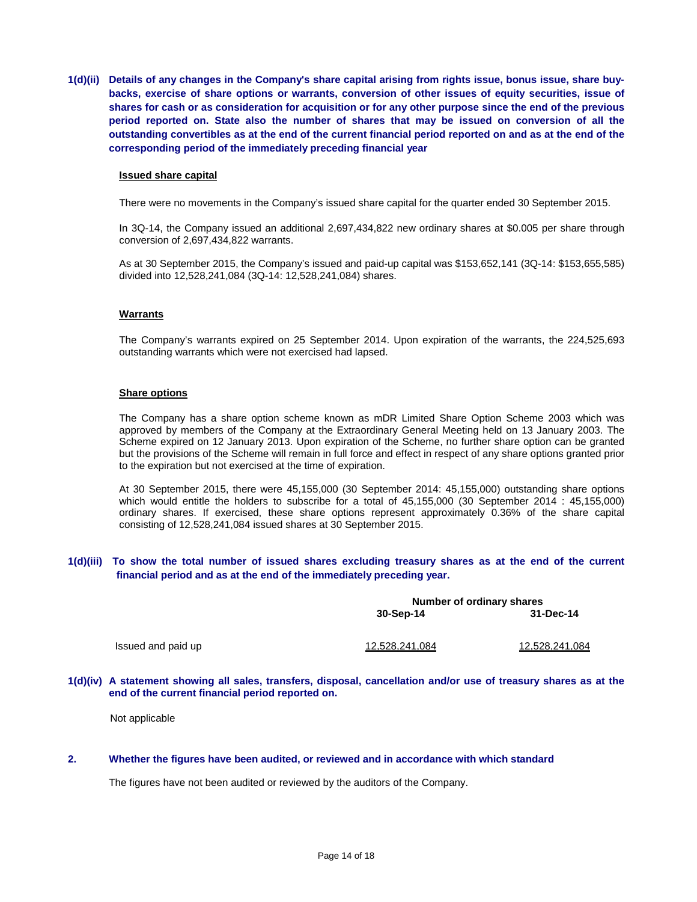**1(d)(ii) Details of any changes in the Company's share capital arising from rights issue, bonus issue, share buybacks, exercise of share options or warrants, conversion of other issues of equity securities, issue of shares for cash or as consideration for acquisition or for any other purpose since the end of the previous period reported on. State also the number of shares that may be issued on conversion of all the outstanding convertibles as at the end of the current financial period reported on and as at the end of the corresponding period of the immediately preceding financial year**

#### **Issued share capital**

There were no movements in the Company's issued share capital for the quarter ended 30 September 2015.

In 3Q-14, the Company issued an additional 2,697,434,822 new ordinary shares at \$0.005 per share through conversion of 2,697,434,822 warrants.

As at 30 September 2015, the Company's issued and paid-up capital was \$153,652,141 (3Q-14: \$153,655,585) divided into 12,528,241,084 (3Q-14: 12,528,241,084) shares.

## **Warrants**

The Company's warrants expired on 25 September 2014. Upon expiration of the warrants, the 224,525,693 outstanding warrants which were not exercised had lapsed.

#### **Share options**

The Company has a share option scheme known as mDR Limited Share Option Scheme 2003 which was approved by members of the Company at the Extraordinary General Meeting held on 13 January 2003. The Scheme expired on 12 January 2013. Upon expiration of the Scheme, no further share option can be granted but the provisions of the Scheme will remain in full force and effect in respect of any share options granted prior to the expiration but not exercised at the time of expiration.

At 30 September 2015, there were 45,155,000 (30 September 2014: 45,155,000) outstanding share options which would entitle the holders to subscribe for a total of 45,155,000 (30 September 2014 : 45,155,000) ordinary shares. If exercised, these share options represent approximately 0.36% of the share capital consisting of 12,528,241,084 issued shares at 30 September 2015.

## **1(d)(iii) To show the total number of issued shares excluding treasury shares as at the end of the current financial period and as at the end of the immediately preceding year.**

|                    | Number of ordinary shares |                |  |  |
|--------------------|---------------------------|----------------|--|--|
|                    | 30-Sep-14                 | 31-Dec-14      |  |  |
| Issued and paid up | 12,528,241,084            | 12,528,241,084 |  |  |

**1(d)(iv) A statement showing all sales, transfers, disposal, cancellation and/or use of treasury shares as at the end of the current financial period reported on.**

Not applicable

## **2. Whether the figures have been audited, or reviewed and in accordance with which standard**

The figures have not been audited or reviewed by the auditors of the Company.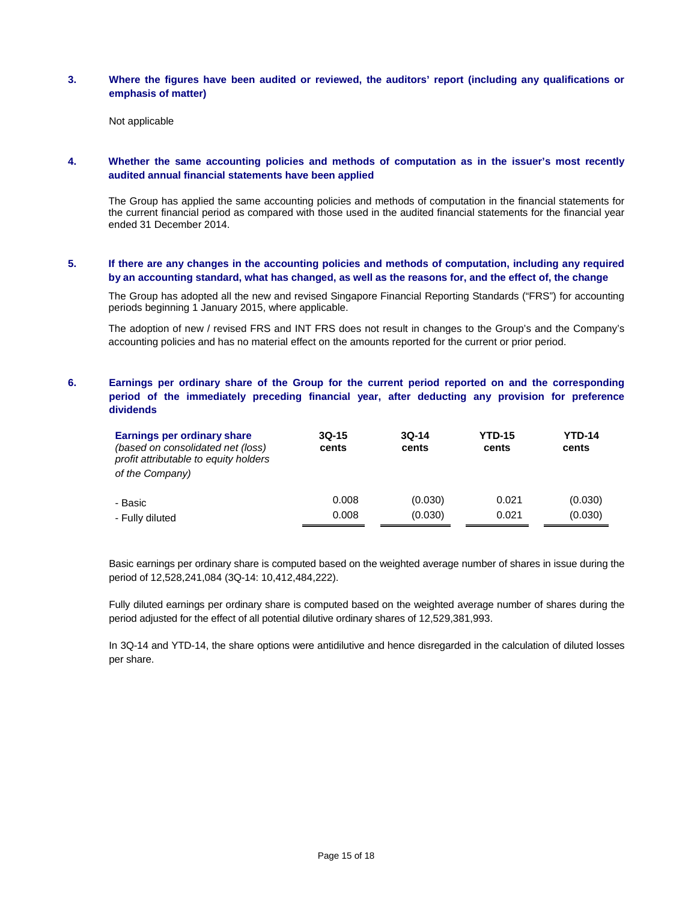## **3. Where the figures have been audited or reviewed, the auditors' report (including any qualifications or emphasis of matter)**

Not applicable

# **4. Whether the same accounting policies and methods of computation as in the issuer's most recently audited annual financial statements have been applied**

The Group has applied the same accounting policies and methods of computation in the financial statements for the current financial period as compared with those used in the audited financial statements for the financial year ended 31 December 2014.

# **5. If there are any changes in the accounting policies and methods of computation, including any required by an accounting standard, what has changed, as well as the reasons for, and the effect of, the change**

The Group has adopted all the new and revised Singapore Financial Reporting Standards ("FRS") for accounting periods beginning 1 January 2015, where applicable.

The adoption of new / revised FRS and INT FRS does not result in changes to the Group's and the Company's accounting policies and has no material effect on the amounts reported for the current or prior period.

# **6. Earnings per ordinary share of the Group for the current period reported on and the corresponding period of the immediately preceding financial year, after deducting any provision for preference dividends**

| Earnings per ordinary share<br>(based on consolidated net (loss)<br>profit attributable to equity holders<br>of the Company) | $3Q-15$<br>cents | $3Q-14$<br>cents | <b>YTD-15</b><br>cents | <b>YTD-14</b><br>cents |
|------------------------------------------------------------------------------------------------------------------------------|------------------|------------------|------------------------|------------------------|
| - Basic                                                                                                                      | 0.008            | (0.030)          | 0.021                  | (0.030)                |
| - Fully diluted                                                                                                              | 0.008            | (0.030)          | 0.021                  | (0.030)                |

Basic earnings per ordinary share is computed based on the weighted average number of shares in issue during the period of 12,528,241,084 (3Q-14: 10,412,484,222).

Fully diluted earnings per ordinary share is computed based on the weighted average number of shares during the period adjusted for the effect of all potential dilutive ordinary shares of 12,529,381,993.

In 3Q-14 and YTD-14, the share options were antidilutive and hence disregarded in the calculation of diluted losses per share.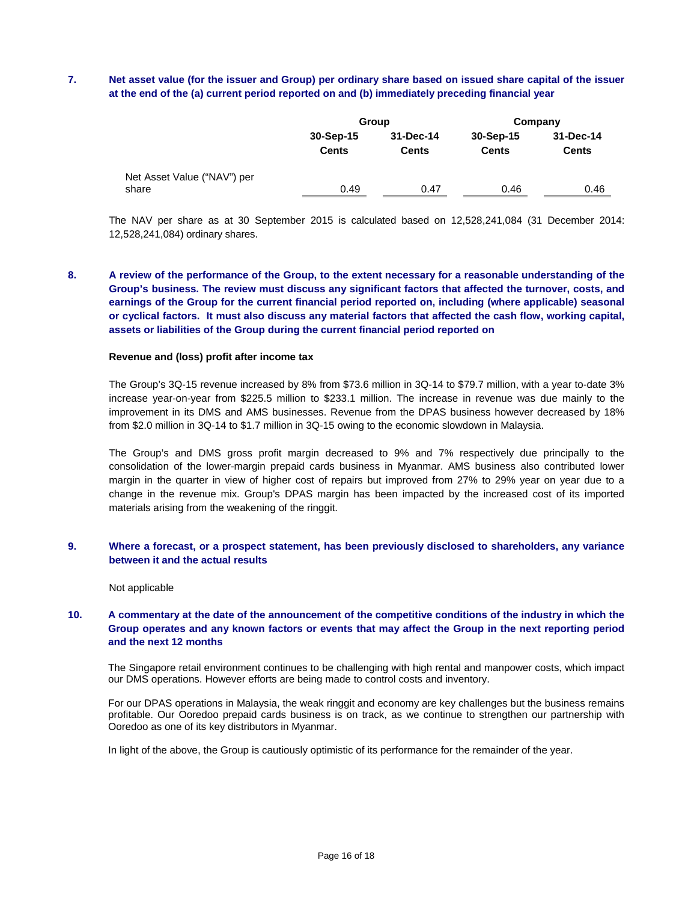# **7. Net asset value (for the issuer and Group) per ordinary share based on issued share capital of the issuer at the end of the (a) current period reported on and (b) immediately preceding financial year**

|                                      |                           | Group                     |                           | Company                   |
|--------------------------------------|---------------------------|---------------------------|---------------------------|---------------------------|
|                                      | 30-Sep-15<br><b>Cents</b> | 31-Dec-14<br><b>Cents</b> | 30-Sep-15<br><b>Cents</b> | 31-Dec-14<br><b>Cents</b> |
| Net Asset Value ("NAV") per<br>share | 0.49                      | 0.47                      | 0.46                      | 0.46                      |

The NAV per share as at 30 September 2015 is calculated based on 12,528,241,084 (31 December 2014: 12,528,241,084) ordinary shares.

**8. A review of the performance of the Group, to the extent necessary for a reasonable understanding of the Group's business. The review must discuss any significant factors that affected the turnover, costs, and earnings of the Group for the current financial period reported on, including (where applicable) seasonal or cyclical factors. It must also discuss any material factors that affected the cash flow, working capital, assets or liabilities of the Group during the current financial period reported on**

### **Revenue and (loss) profit after income tax**

The Group's 3Q-15 revenue increased by 8% from \$73.6 million in 3Q-14 to \$79.7 million, with a year to-date 3% increase year-on-year from \$225.5 million to \$233.1 million. The increase in revenue was due mainly to the improvement in its DMS and AMS businesses. Revenue from the DPAS business however decreased by 18% from \$2.0 million in 3Q-14 to \$1.7 million in 3Q-15 owing to the economic slowdown in Malaysia.

The Group's and DMS gross profit margin decreased to 9% and 7% respectively due principally to the consolidation of the lower-margin prepaid cards business in Myanmar. AMS business also contributed lower margin in the quarter in view of higher cost of repairs but improved from 27% to 29% year on year due to a change in the revenue mix. Group's DPAS margin has been impacted by the increased cost of its imported materials arising from the weakening of the ringgit.

## **9. Where a forecast, or a prospect statement, has been previously disclosed to shareholders, any variance between it and the actual results**

Not applicable

# **10. A commentary at the date of the announcement of the competitive conditions of the industry in which the Group operates and any known factors or events that may affect the Group in the next reporting period and the next 12 months**

The Singapore retail environment continues to be challenging with high rental and manpower costs, which impact our DMS operations. However efforts are being made to control costs and inventory.

For our DPAS operations in Malaysia, the weak ringgit and economy are key challenges but the business remains profitable. Our Ooredoo prepaid cards business is on track, as we continue to strengthen our partnership with Ooredoo as one of its key distributors in Myanmar.

In light of the above, the Group is cautiously optimistic of its performance for the remainder of the year.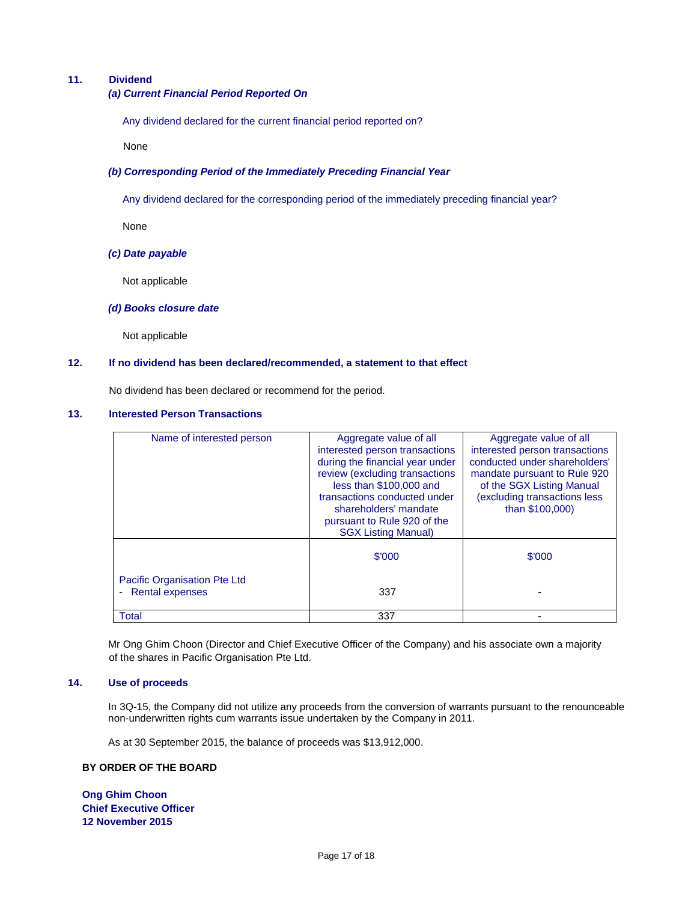#### **11. Dividend**

# *(a) Current Financial Period Reported On*

Any dividend declared for the current financial period reported on?

None

#### *(b) Corresponding Period of the Immediately Preceding Financial Year*

Any dividend declared for the corresponding period of the immediately preceding financial year?

None

#### *(c) Date payable*

Not applicable

#### *(d) Books closure date*

Not applicable

## **12. If no dividend has been declared/recommended, a statement to that effect**

No dividend has been declared or recommend for the period.

# **13. Interested Person Transactions**

| Name of interested person                         | Aggregate value of all<br>interested person transactions<br>during the financial year under<br>review (excluding transactions<br>less than \$100,000 and<br>transactions conducted under<br>shareholders' mandate<br>pursuant to Rule 920 of the<br><b>SGX Listing Manual)</b> | Aggregate value of all<br>interested person transactions<br>conducted under shareholders'<br>mandate pursuant to Rule 920<br>of the SGX Listing Manual<br>(excluding transactions less<br>than \$100,000) |
|---------------------------------------------------|--------------------------------------------------------------------------------------------------------------------------------------------------------------------------------------------------------------------------------------------------------------------------------|-----------------------------------------------------------------------------------------------------------------------------------------------------------------------------------------------------------|
| Pacific Organisation Pte Ltd<br>- Rental expenses | \$'000<br>337                                                                                                                                                                                                                                                                  | \$'000                                                                                                                                                                                                    |
| Total                                             | 337                                                                                                                                                                                                                                                                            |                                                                                                                                                                                                           |

Mr Ong Ghim Choon (Director and Chief Executive Officer of the Company) and his associate own a majority of the shares in Pacific Organisation Pte Ltd.

## **14. Use of proceeds**

In 3Q-15, the Company did not utilize any proceeds from the conversion of warrants pursuant to the renounceable non-underwritten rights cum warrants issue undertaken by the Company in 2011.

As at 30 September 2015, the balance of proceeds was \$13,912,000.

## **BY ORDER OF THE BOARD**

**Ong Ghim Choon Chief Executive Officer 12 November 2015**